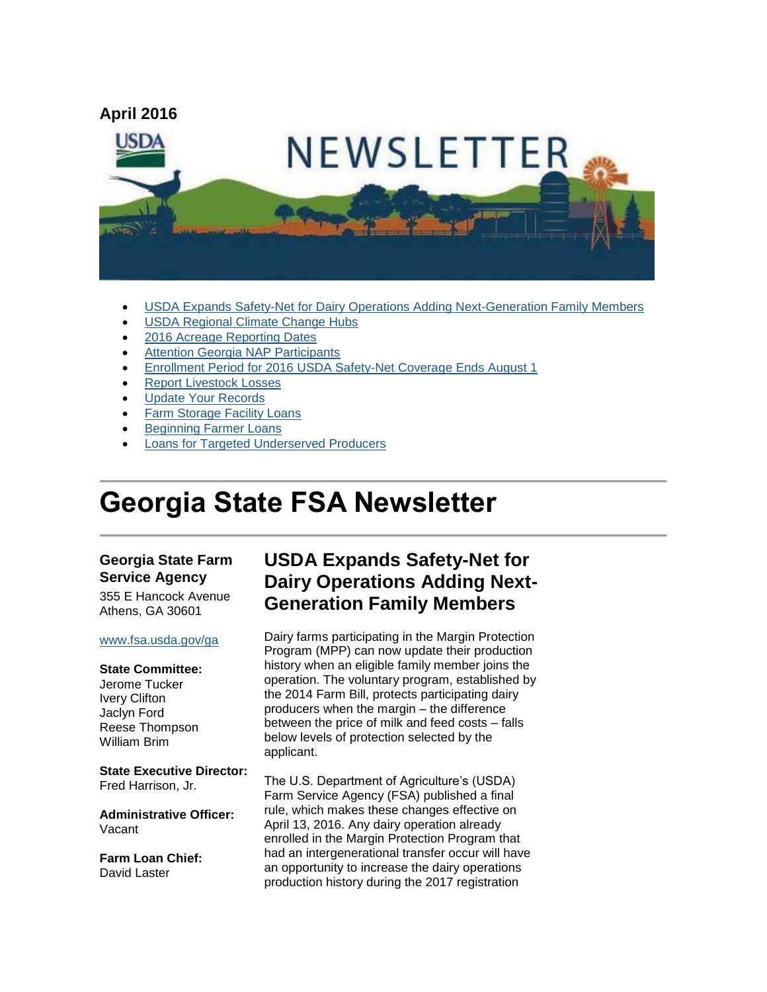

- [USDA Expands Safety-Net for Dairy Operations Adding Next-Generation Family Members](#page-0-0)
- [USDA Regional Climate Change Hubs](#page-2-0)
- [2016 Acreage Reporting Dates](#page-2-1)
- [Attention Georgia NAP Participants](#page-3-0)
- [Enrollment Period for 2016 USDA Safety-Net Coverage Ends August 1](#page-3-1)
- [Report Livestock Losses](#page-3-2)
- [Update Your Records](#page-4-0)
- [Farm Storage Facility Loans](#page-4-1)
- [Beginning Farmer Loans](#page-5-0)
- [Loans for Targeted Underserved Producers](#page-5-1)

# **Georgia State FSA Newsletter**

#### **Georgia State Farm Service Agency**

355 E Hancock Avenue Athens, GA 30601

#### [www.fsa.usda.gov/ga](http://www.fsa.usda.gov/ga)

#### **State Committee:**

Jerome Tucker Ivery Clifton Jaclyn Ford Reese Thompson William Brim

**State Executive Director:** Fred Harrison, Jr.

**Administrative Officer:** Vacant

**Farm Loan Chief:** David Laster

### <span id="page-0-0"></span>**USDA Expands Safety-Net for Dairy Operations Adding Next-Generation Family Members**

Dairy farms participating in the Margin Protection Program (MPP) can now update their production history when an eligible family member joins the operation. The voluntary program, established by the 2014 Farm Bill, protects participating dairy producers when the margin – the difference between the price of milk and feed costs – falls below levels of protection selected by the applicant.

The U.S. Department of Agriculture's (USDA) Farm Service Agency (FSA) published a final rule, which makes these changes effective on April 13, 2016. Any dairy operation already enrolled in the Margin Protection Program that had an intergenerational transfer occur will have an opportunity to increase the dairy operations production history during the 2017 registration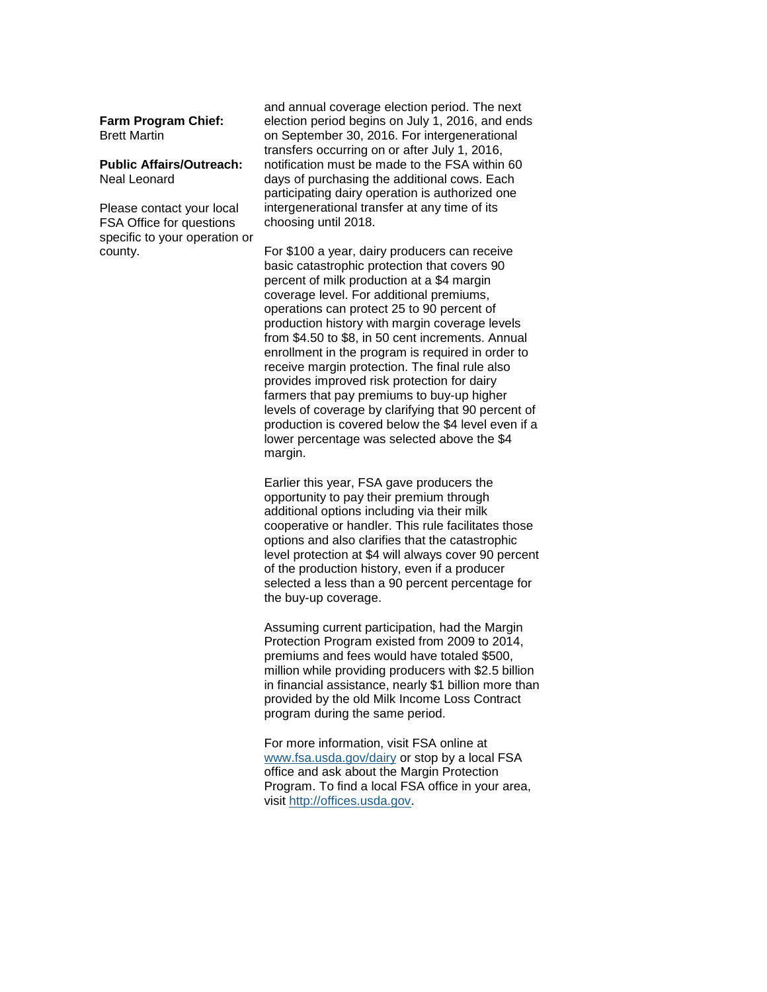**Farm Program Chief:** Brett Martin

#### **Public Affairs/Outreach:** Neal Leonard

Please contact your local FSA Office for questions specific to your operation or county.

and annual coverage election period. The next election period begins on July 1, 2016, and ends on September 30, 2016. For intergenerational transfers occurring on or after July 1, 2016, notification must be made to the FSA within 60 days of purchasing the additional cows. Each participating dairy operation is authorized one intergenerational transfer at any time of its choosing until 2018.

For \$100 a year, dairy producers can receive basic catastrophic protection that covers 90 percent of milk production at a \$4 margin coverage level. For additional premiums, operations can protect 25 to 90 percent of production history with margin coverage levels from \$4.50 to \$8, in 50 cent increments. Annual enrollment in the program is required in order to receive margin protection. The final rule also provides improved risk protection for dairy farmers that pay premiums to buy-up higher levels of coverage by clarifying that 90 percent of production is covered below the \$4 level even if a lower percentage was selected above the \$4 margin.

Earlier this year, FSA gave producers the opportunity to pay their premium through additional options including via their milk cooperative or handler. This rule facilitates those options and also clarifies that the catastrophic level protection at \$4 will always cover 90 percent of the production history, even if a producer selected a less than a 90 percent percentage for the buy-up coverage.

Assuming current participation, had the Margin Protection Program existed from 2009 to 2014, premiums and fees would have totaled \$500, million while providing producers with \$2.5 billion in financial assistance, nearly \$1 billion more than provided by the old Milk Income Loss Contract program during the same period.

For more information, visit FSA online at [www.fsa.usda.gov/dairy](http://www.fsa.usda.gov/dairy) or stop by a local FSA office and ask about the Margin Protection Program. To find a local FSA office in your area, visit [http://offices.usda.gov.](http://offices.usda.gov/)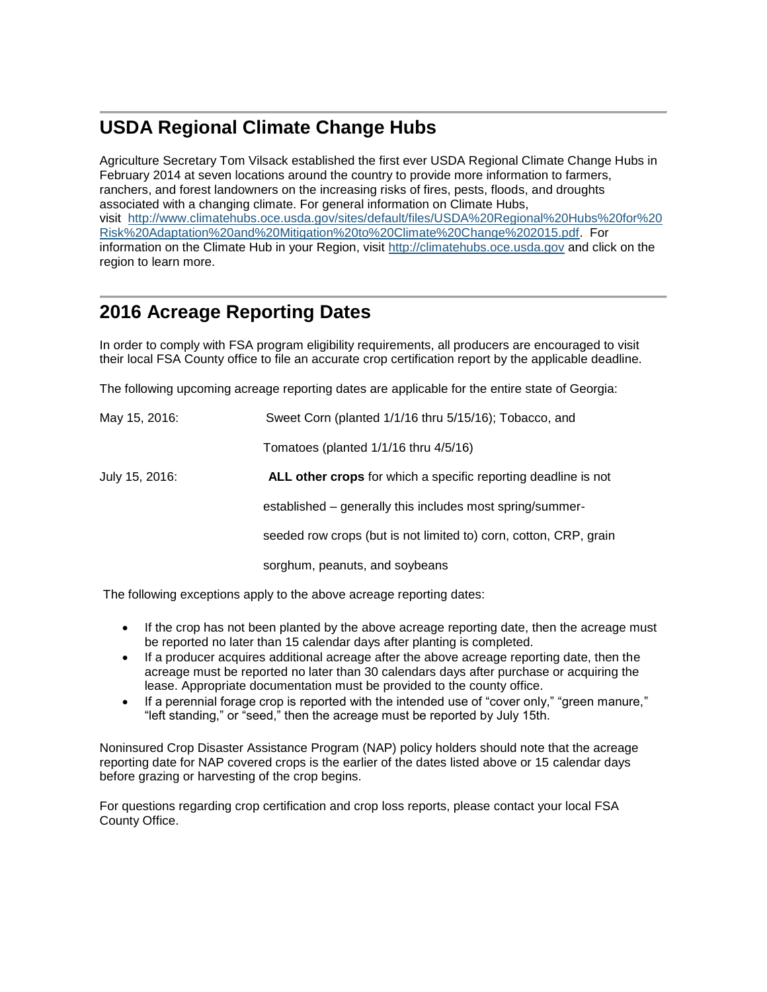# <span id="page-2-0"></span>**USDA Regional Climate Change Hubs**

Agriculture Secretary Tom Vilsack established the first ever USDA Regional Climate Change Hubs in February 2014 at seven locations around the country to provide more information to farmers, ranchers, and forest landowners on the increasing risks of fires, pests, floods, and droughts associated with a changing climate. For general information on Climate Hubs, visit [http://www.climatehubs.oce.usda.gov/sites/default/files/USDA%20Regional%20Hubs%20for%20](http://www.climatehubs.oce.usda.gov/sites/default/files/USDA%20Regional%20Hubs%20for%20Risk%20Adaptation%20and%20Mitigation%20to%20Climate%20Change%202015.pdf) [Risk%20Adaptation%20and%20Mitigation%20to%20Climate%20Change%202015.pdf.](http://www.climatehubs.oce.usda.gov/sites/default/files/USDA%20Regional%20Hubs%20for%20Risk%20Adaptation%20and%20Mitigation%20to%20Climate%20Change%202015.pdf) For information on the Climate Hub in your Region, visit [http://climatehubs.oce.usda.gov](http://climatehubs.oce.usda.gov/) and click on the region to learn more.

# <span id="page-2-1"></span>**2016 Acreage Reporting Dates**

In order to comply with FSA program eligibility requirements, all producers are encouraged to visit their local FSA County office to file an accurate crop certification report by the applicable deadline.

The following upcoming acreage reporting dates are applicable for the entire state of Georgia:

| May 15, 2016:  | Sweet Corn (planted 1/1/16 thru 5/15/16); Tobacco, and                |
|----------------|-----------------------------------------------------------------------|
|                | Tomatoes (planted $1/1/16$ thru $4/5/16$ )                            |
| July 15, 2016: | <b>ALL other crops</b> for which a specific reporting deadline is not |
|                | established – generally this includes most spring/summer-             |
|                | seeded row crops (but is not limited to) corn, cotton, CRP, grain     |
|                | sorghum, peanuts, and soybeans                                        |

The following exceptions apply to the above acreage reporting dates:

- If the crop has not been planted by the above acreage reporting date, then the acreage must be reported no later than 15 calendar days after planting is completed.
- If a producer acquires additional acreage after the above acreage reporting date, then the acreage must be reported no later than 30 calendars days after purchase or acquiring the lease. Appropriate documentation must be provided to the county office.
- If a perennial forage crop is reported with the intended use of "cover only," "green manure," "left standing," or "seed," then the acreage must be reported by July 15th.

Noninsured Crop Disaster Assistance Program (NAP) policy holders should note that the acreage reporting date for NAP covered crops is the earlier of the dates listed above or 15 calendar days before grazing or harvesting of the crop begins.

For questions regarding crop certification and crop loss reports, please contact your local FSA County Office.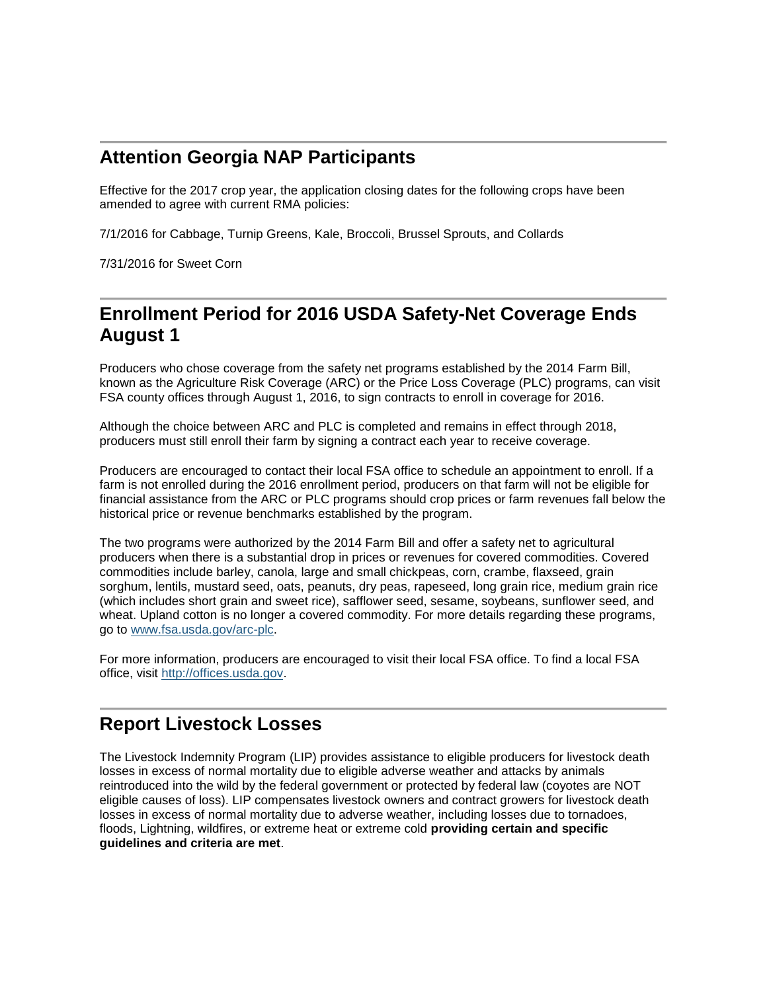# <span id="page-3-0"></span>**Attention Georgia NAP Participants**

Effective for the 2017 crop year, the application closing dates for the following crops have been amended to agree with current RMA policies:

7/1/2016 for Cabbage, Turnip Greens, Kale, Broccoli, Brussel Sprouts, and Collards

7/31/2016 for Sweet Corn

### <span id="page-3-1"></span>**Enrollment Period for 2016 USDA Safety-Net Coverage Ends August 1**

Producers who chose coverage from the safety net programs established by the 2014 Farm Bill, known as the Agriculture Risk Coverage (ARC) or the Price Loss Coverage (PLC) programs, can visit FSA county offices through August 1, 2016, to sign contracts to enroll in coverage for 2016.

Although the choice between ARC and PLC is completed and remains in effect through 2018, producers must still enroll their farm by signing a contract each year to receive coverage.

Producers are encouraged to contact their local FSA office to schedule an appointment to enroll. If a farm is not enrolled during the 2016 enrollment period, producers on that farm will not be eligible for financial assistance from the ARC or PLC programs should crop prices or farm revenues fall below the historical price or revenue benchmarks established by the program.

The two programs were authorized by the 2014 Farm Bill and offer a safety net to agricultural producers when there is a substantial drop in prices or revenues for covered commodities. Covered commodities include barley, canola, large and small chickpeas, corn, crambe, flaxseed, grain sorghum, lentils, mustard seed, oats, peanuts, dry peas, rapeseed, long grain rice, medium grain rice (which includes short grain and sweet rice), safflower seed, sesame, soybeans, sunflower seed, and wheat. Upland cotton is no longer a covered commodity. For more details regarding these programs, go to [www.fsa.usda.gov/arc-plc.](http://www.fsa.usda.gov/arc-plc)

For more information, producers are encouraged to visit their local FSA office. To find a local FSA office, visit [http://offices.usda.gov.](http://offices.usda.gov/)

#### <span id="page-3-2"></span>**Report Livestock Losses**

The Livestock Indemnity Program (LIP) provides assistance to eligible producers for livestock death losses in excess of normal mortality due to eligible adverse weather and attacks by animals reintroduced into the wild by the federal government or protected by federal law (coyotes are NOT eligible causes of loss). LIP compensates livestock owners and contract growers for livestock death losses in excess of normal mortality due to adverse weather, including losses due to tornadoes, floods, Lightning, wildfires, or extreme heat or extreme cold **providing certain and specific guidelines and criteria are met**.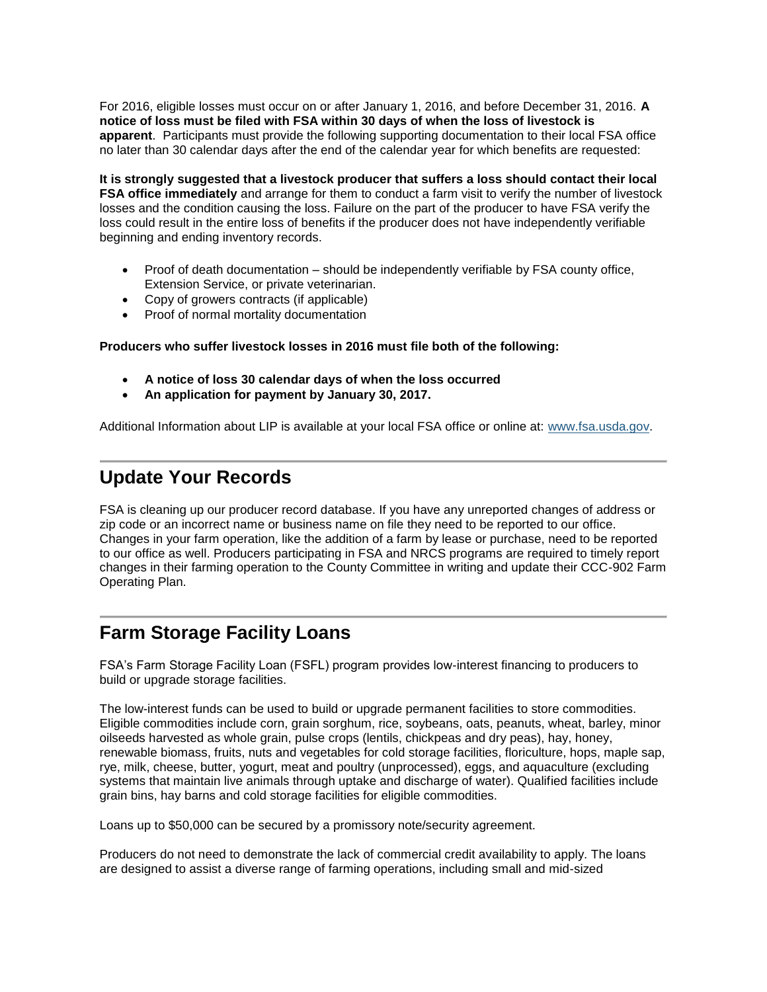For 2016, eligible losses must occur on or after January 1, 2016, and before December 31, 2016. **A notice of loss must be filed with FSA within 30 days of when the loss of livestock is apparent**. Participants must provide the following supporting documentation to their local FSA office no later than 30 calendar days after the end of the calendar year for which benefits are requested:

**It is strongly suggested that a livestock producer that suffers a loss should contact their local FSA office immediately** and arrange for them to conduct a farm visit to verify the number of livestock losses and the condition causing the loss. Failure on the part of the producer to have FSA verify the loss could result in the entire loss of benefits if the producer does not have independently verifiable beginning and ending inventory records.

- Proof of death documentation should be independently verifiable by FSA county office, Extension Service, or private veterinarian.
- Copy of growers contracts (if applicable)
- Proof of normal mortality documentation

#### **Producers who suffer livestock losses in 2016 must file both of the following:**

- **A notice of loss 30 calendar days of when the loss occurred**
- **An application for payment by January 30, 2017.**

Additional Information about LIP is available at your local FSA office or online at: [www.fsa.usda.gov.](file:///C:/Documents%20and%20Settings/murray.watts/Local%20Settings/Temporary%20Internet%20Files/Content.Outlook/WRAEZEPN/www.fsa.usda.gov)

# <span id="page-4-0"></span>**Update Your Records**

FSA is cleaning up our producer record database. If you have any unreported changes of address or zip code or an incorrect name or business name on file they need to be reported to our office. Changes in your farm operation, like the addition of a farm by lease or purchase, need to be reported to our office as well. Producers participating in FSA and NRCS programs are required to timely report changes in their farming operation to the County Committee in writing and update their CCC-902 Farm Operating Plan.

### <span id="page-4-1"></span>**Farm Storage Facility Loans**

FSA's Farm Storage Facility Loan (FSFL) program provides low-interest financing to producers to build or upgrade storage facilities.

The low-interest funds can be used to build or upgrade permanent facilities to store commodities. Eligible commodities include corn, grain sorghum, rice, soybeans, oats, peanuts, wheat, barley, minor oilseeds harvested as whole grain, pulse crops (lentils, chickpeas and dry peas), hay, honey, renewable biomass, fruits, nuts and vegetables for cold storage facilities, floriculture, hops, maple sap, rye, milk, cheese, butter, yogurt, meat and poultry (unprocessed), eggs, and aquaculture (excluding systems that maintain live animals through uptake and discharge of water). Qualified facilities include grain bins, hay barns and cold storage facilities for eligible commodities.

Loans up to \$50,000 can be secured by a promissory note/security agreement.

Producers do not need to demonstrate the lack of commercial credit availability to apply. The loans are designed to assist a diverse range of farming operations, including small and mid-sized